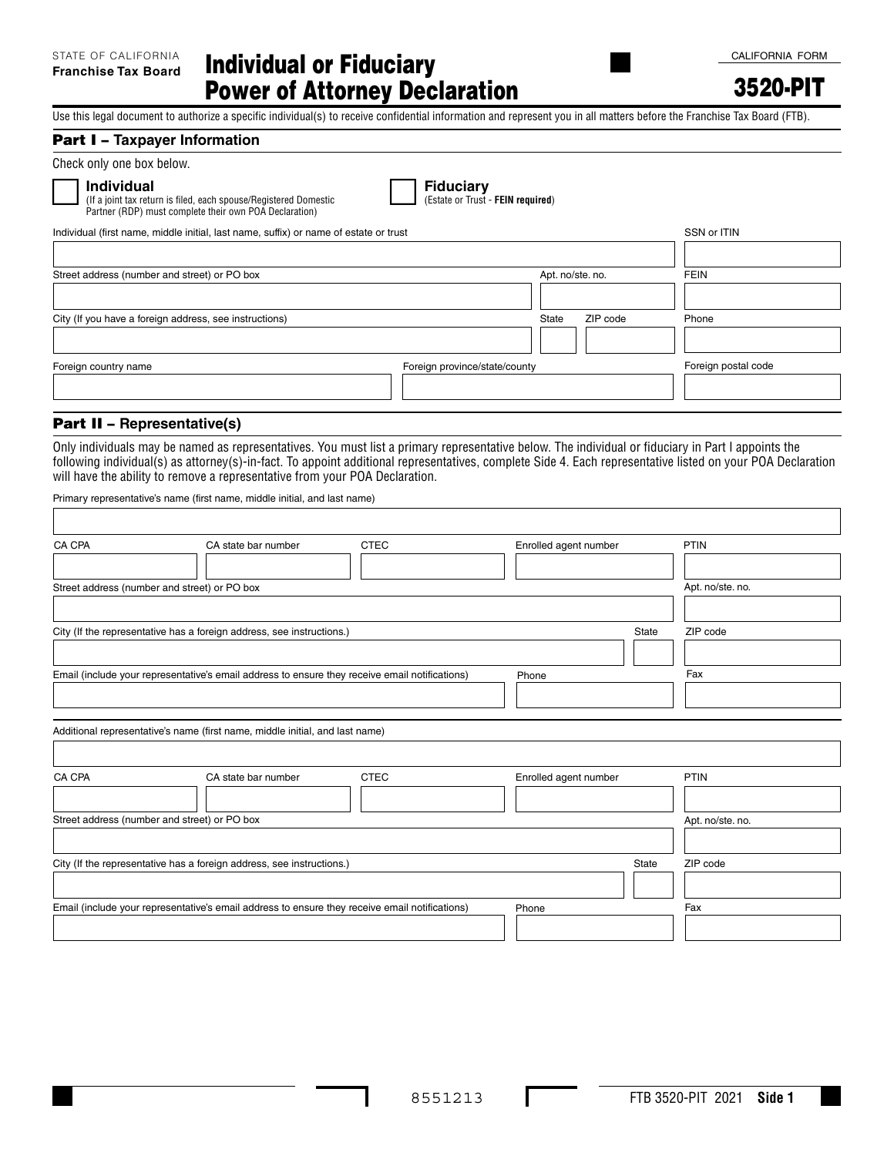3520-PIT

Use this legal document to authorize a specific individual(s) to receive confidential information and represent you in all matters before the Franchise Tax Board (FTB).

#### Part I – **Taxpayer Information**

Check only one box below.

**Individual**<br>(If a joint tax return is filed, each spouse/Registered Domestic **Comes Comes Comes Comes - FEIN required**) Partner (RDP) must complete their own POA Declaration)

**Individual Fiduciary**

| Individual (first name, middle initial, last name, suffix) or name of estate or trust | SSN or ITIN                   |                  |          |                     |
|---------------------------------------------------------------------------------------|-------------------------------|------------------|----------|---------------------|
|                                                                                       |                               |                  |          |                     |
| Street address (number and street) or PO box                                          |                               | Apt. no/ste. no. |          | <b>FEIN</b>         |
|                                                                                       |                               |                  |          |                     |
| City (If you have a foreign address, see instructions)                                |                               | State            | ZIP code | Phone               |
|                                                                                       |                               |                  |          |                     |
| Foreign country name                                                                  | Foreign province/state/county |                  |          | Foreign postal code |
|                                                                                       |                               |                  |          |                     |

# Part II – **Representative(s)**

Only individuals may be named as representatives. You must list a primary representative below. The individual or fiduciary in Part I appoints the following individual(s) as attorney(s)-in-fact. To appoint additional representatives, complete Side 4. Each representative listed on your POA Declaration will have the ability to remove a representative from your POA Declaration.

Primary representative's name (first name, middle initial, and last name)

| CA CPA | CA state bar number                                                                            | <b>CTEC</b> | Enrolled agent number | PTIN             |
|--------|------------------------------------------------------------------------------------------------|-------------|-----------------------|------------------|
|        |                                                                                                |             |                       |                  |
|        | Street address (number and street) or PO box                                                   |             |                       | Apt. no/ste. no. |
|        | City (If the representative has a foreign address, see instructions.)                          |             | <b>State</b>          | ZIP code         |
|        | Email (include your representative's email address to ensure they receive email notifications) |             | Phone                 | Fax              |
|        | Additional representative's name (first name, middle initial, and last name)                   |             |                       |                  |
| CA CPA | CA state bar number                                                                            | <b>CTEC</b> | Enrolled agent number | PTIN             |
|        | Street address (number and street) or PO box                                                   |             |                       | Apt. no/ste. no. |
|        | City (If the representative has a foreign address, see instructions.)                          |             | <b>State</b>          | ZIP code         |
|        | Email (include your representative's email address to ensure they receive email notifications) |             | Phone                 | Fax              |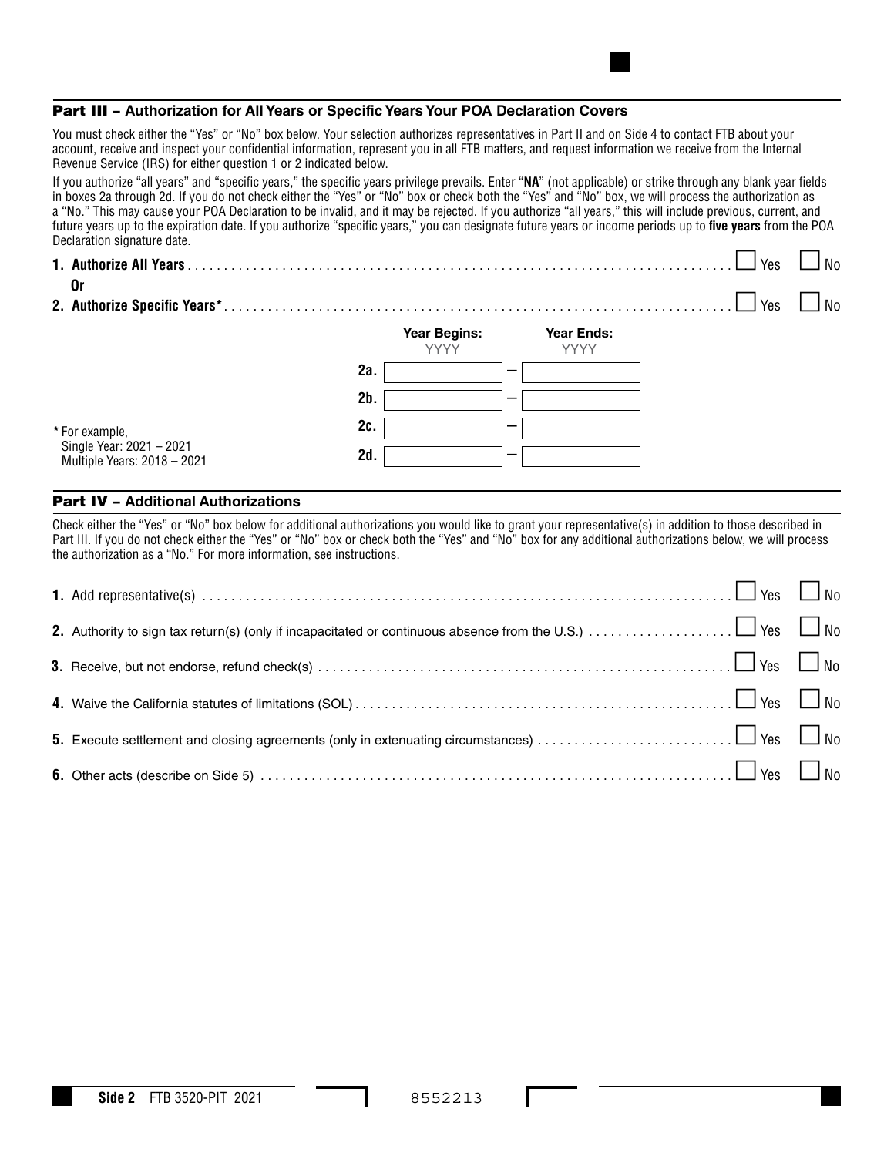#### Part III – **Authorization for All Years or Specific Years Your POA Declaration Covers**

You must check either the "Yes" or "No" box below. Your selection authorizes representatives in Part II and on Side 4 to contact FTB about your account, receive and inspect your confidential information, represent you in all FTB matters, and request information we receive from the Internal Revenue Service (IRS) for either question 1 or 2 indicated below.

If you authorize "all years" and "specific years," the specific years privilege prevails. Enter "**NA**" (not applicable) or strike through any blank year fields in boxes 2a through 2d. If you do not check either the "Yes" or "No" box or check both the "Yes" and "No" box, we will process the authorization as a "No." This may cause your POA Declaration to be invalid, and it may be rejected. If you authorize "all years," this will include previous, current, and future years up to the expiration date. If you authorize "specific years," you can designate future years or income periods up to **five years** from the POA Declaration signature date.

| 0r                                                      |        |                                    |                                  | Yes | No |
|---------------------------------------------------------|--------|------------------------------------|----------------------------------|-----|----|
|                                                         |        |                                    |                                  | Yes | No |
|                                                         |        | <b>Year Begins:</b><br><b>YYYY</b> | <b>Year Ends:</b><br><b>YYYY</b> |     |    |
|                                                         | 2a.    |                                    |                                  |     |    |
|                                                         | $2b$ . |                                    |                                  |     |    |
| * For example,                                          | 2c.    |                                    |                                  |     |    |
| Single Year: 2021 - 2021<br>Multinle Vears: 2018 - 2021 | 2d.    |                                    |                                  |     |    |

#### Part IV – **Additional Authorizations**

Multiple Years: 2018 – 2021

Check either the "Yes" or "No" box below for additional authorizations you would like to grant your representative(s) in addition to those described in Part III. If you do not check either the "Yes" or "No" box or check both the "Yes" and "No" box for any additional authorizations below, we will process the authorization as a "No." For more information, see instructions.

| 1. Add representative(s) $\ldots$ $\ldots$ $\ldots$ $\ldots$ $\ldots$ $\ldots$ $\ldots$ $\ldots$ $\ldots$ $\ldots$ $\ldots$ $\ldots$ $\ldots$ $\ldots$ $\ldots$ $\ldots$         |  |
|----------------------------------------------------------------------------------------------------------------------------------------------------------------------------------|--|
|                                                                                                                                                                                  |  |
|                                                                                                                                                                                  |  |
|                                                                                                                                                                                  |  |
|                                                                                                                                                                                  |  |
| <b>6.</b> Other acts (describe on Side 5) $\ldots$ $\ldots$ $\ldots$ $\ldots$ $\ldots$ $\ldots$ $\ldots$ $\ldots$ $\ldots$ $\ldots$ $\ldots$ $\ldots$ $\ldots$ $\ldots$ $\ldots$ |  |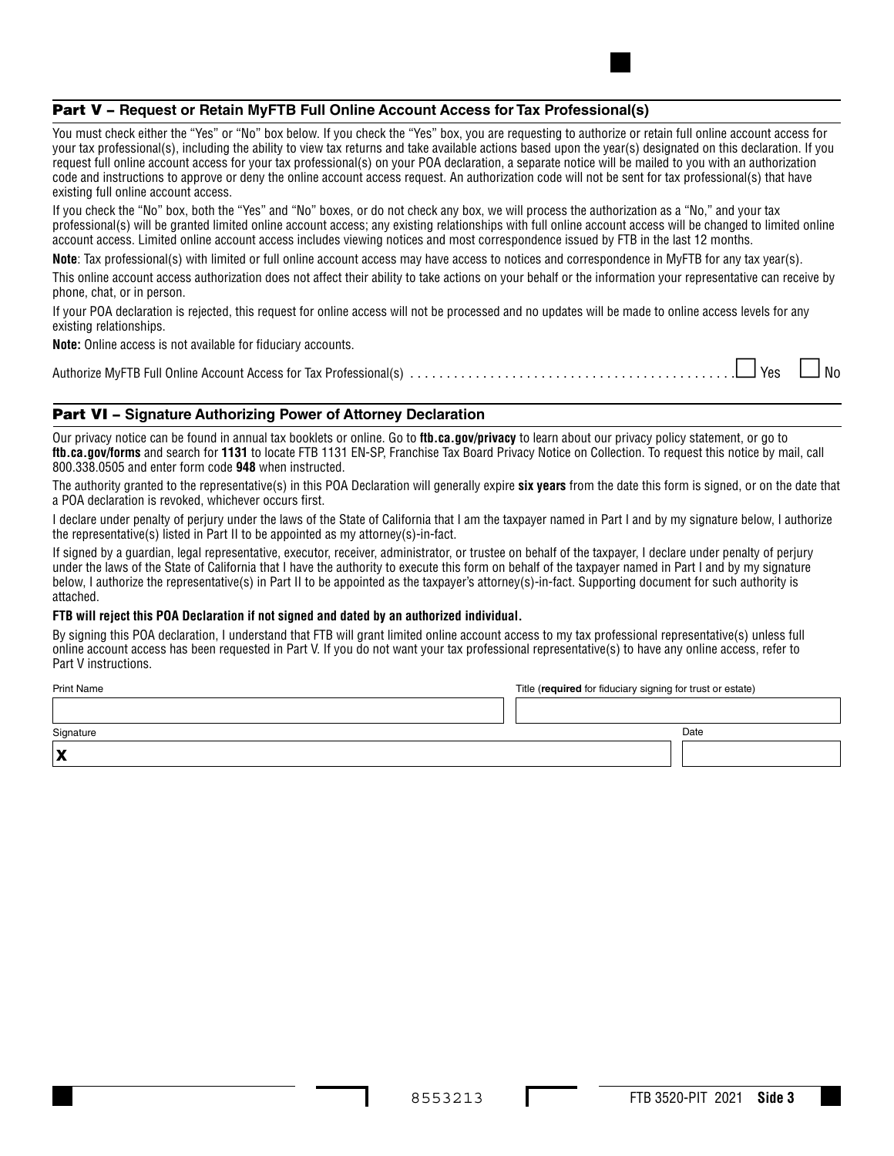### Part V – **Request or Retain MyFTB Full Online Account Access for Tax Professional(s)**

You must check either the "Yes" or "No" box below. If you check the "Yes" box, you are requesting to authorize or retain full online account access for your tax professional(s), including the ability to view tax returns and take available actions based upon the year(s) designated on this declaration. If you request full online account access for your tax professional(s) on your POA declaration, a separate notice will be mailed to you with an authorization code and instructions to approve or deny the online account access request. An authorization code will not be sent for tax professional(s) that have existing full online account access.

If you check the "No" box, both the "Yes" and "No" boxes, or do not check any box, we will process the authorization as a "No," and your tax professional(s) will be granted limited online account access; any existing relationships with full online account access will be changed to limited online account access. Limited online account access includes viewing notices and most correspondence issued by FTB in the last 12 months.

**Note**: Tax professional(s) with limited or full online account access may have access to notices and correspondence in MyFTB for any tax year(s).

This online account access authorization does not affect their ability to take actions on your behalf or the information your representative can receive by phone, chat, or in person.

If your POA declaration is rejected, this request for online access will not be processed and no updates will be made to online access levels for any existing relationships.

**Note:** Online access is not available for fiduciary accounts.

|--|--|--|--|--|

## Part VI – **Signature Authorizing Power of Attorney Declaration**

Our privacy notice can be found in annual tax booklets or online. Go to **ftb.ca.gov/privacy** to learn about our privacy policy statement, or go to **ftb.ca.gov/forms** and search for **1131** to locate FTB 1131 EN-SP, Franchise Tax Board Privacy Notice on Collection. To request this notice by mail, call 800.338.0505 and enter form code **948** when instructed.

The authority granted to the representative(s) in this POA Declaration will generally expire **six years** from the date this form is signed, or on the date that a POA declaration is revoked, whichever occurs first.

I declare under penalty of perjury under the laws of the State of California that I am the taxpayer named in Part I and by my signature below, I authorize the representative(s) listed in Part II to be appointed as my attorney(s)-in-fact.

If signed by a guardian, legal representative, executor, receiver, administrator, or trustee on behalf of the taxpayer, I declare under penalty of perjury under the laws of the State of California that I have the authority to execute this form on behalf of the taxpayer named in Part I and by my signature below, I authorize the representative(s) in Part II to be appointed as the taxpayer's attorney(s)-in-fact. Supporting document for such authority is attached.

#### **FTB will reject this POA Declaration if not signed and dated by an authorized individual.**

By signing this POA declaration, I understand that FTB will grant limited online account access to my tax professional representative(s) unless full online account access has been requested in Part V. If you do not want your tax professional representative(s) to have any online access, refer to Part V instructions.

| <b>Print Name</b> | Title (required for fiduciary signing for trust or estate) |      |
|-------------------|------------------------------------------------------------|------|
|                   |                                                            |      |
| Signature         |                                                            | Date |
| IX                |                                                            |      |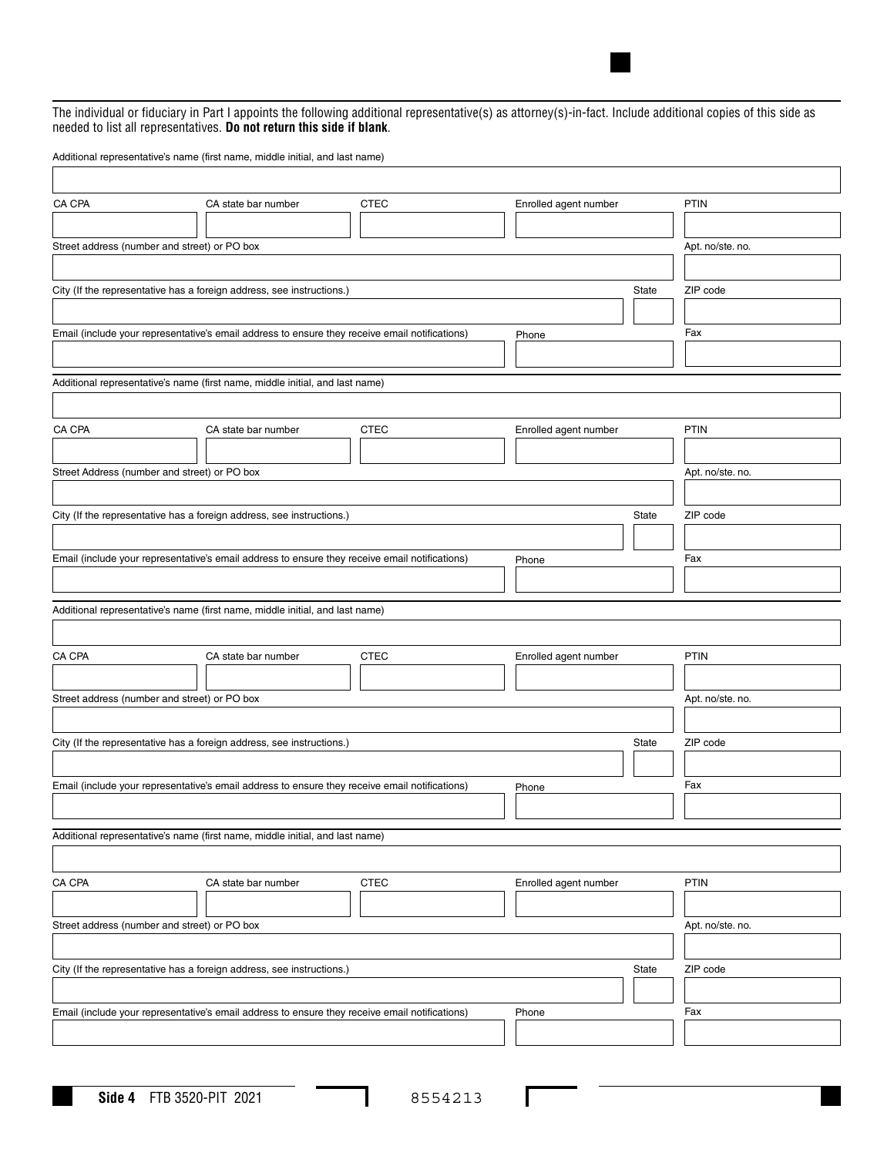The individual or fiduciary in Part I appoints the following additional representative(s) as attorney(s)-in-fact. Include additional copies of this side as needed to list all representatives. **Do not return this side if blank**.

Additional representative's name (first name, middle initial, and last name)

| CA CPA                                       | CA state bar number                                                                            | <b>CTEC</b> | Enrolled agent number |              | <b>PTIN</b>      |
|----------------------------------------------|------------------------------------------------------------------------------------------------|-------------|-----------------------|--------------|------------------|
|                                              |                                                                                                |             |                       |              |                  |
| Street address (number and street) or PO box |                                                                                                |             |                       |              | Apt. no/ste. no. |
|                                              |                                                                                                |             |                       |              |                  |
|                                              | City (If the representative has a foreign address, see instructions.)                          |             |                       | <b>State</b> | ZIP code         |
|                                              |                                                                                                |             |                       |              |                  |
|                                              | Email (include your representative's email address to ensure they receive email notifications) |             | Phone                 |              | Fax              |
|                                              |                                                                                                |             |                       |              |                  |
|                                              | Additional representative's name (first name, middle initial, and last name)                   |             |                       |              |                  |
|                                              |                                                                                                |             |                       |              |                  |
|                                              |                                                                                                |             |                       |              |                  |
| CA CPA                                       | CA state bar number                                                                            | <b>CTEC</b> | Enrolled agent number |              | <b>PTIN</b>      |
|                                              |                                                                                                |             |                       |              |                  |
| Street Address (number and street) or PO box |                                                                                                |             |                       |              | Apt. no/ste. no. |
|                                              |                                                                                                |             |                       |              |                  |
|                                              | City (If the representative has a foreign address, see instructions.)                          |             |                       | State        | ZIP code         |
|                                              |                                                                                                |             |                       |              |                  |
|                                              | Email (include your representative's email address to ensure they receive email notifications) |             | Phone                 |              | Fax              |
|                                              |                                                                                                |             |                       |              |                  |
|                                              | Additional representative's name (first name, middle initial, and last name)                   |             |                       |              |                  |
|                                              |                                                                                                |             |                       |              |                  |
| CA CPA                                       | CA state bar number                                                                            | <b>CTEC</b> | Enrolled agent number |              | <b>PTIN</b>      |
|                                              |                                                                                                |             |                       |              |                  |
| Street address (number and street) or PO box |                                                                                                |             |                       |              | Apt. no/ste. no. |
|                                              |                                                                                                |             |                       |              |                  |
|                                              | City (If the representative has a foreign address, see instructions.)                          |             |                       | State        | ZIP code         |
|                                              |                                                                                                |             |                       |              |                  |
|                                              |                                                                                                |             |                       |              | Fax              |
|                                              | Email (include your representative's email address to ensure they receive email notifications) |             | Phone                 |              |                  |
|                                              |                                                                                                |             |                       |              |                  |
|                                              | Additional representative's name (first name, middle initial, and last name)                   |             |                       |              |                  |
|                                              |                                                                                                |             |                       |              |                  |
| CA CPA                                       | CA state bar number                                                                            | <b>CTEC</b> | Enrolled agent number |              | PTIN             |
|                                              |                                                                                                |             |                       |              |                  |
| Street address (number and street) or PO box |                                                                                                |             |                       |              | Apt. no/ste. no. |
|                                              |                                                                                                |             |                       |              |                  |
|                                              | City (If the representative has a foreign address, see instructions.)                          |             |                       | State        | ZIP code         |
|                                              |                                                                                                |             |                       |              |                  |
|                                              | Email (include your representative's email address to ensure they receive email notifications) |             | Phone                 |              | Fax              |
|                                              |                                                                                                |             |                       |              |                  |
|                                              |                                                                                                |             |                       |              |                  |

I